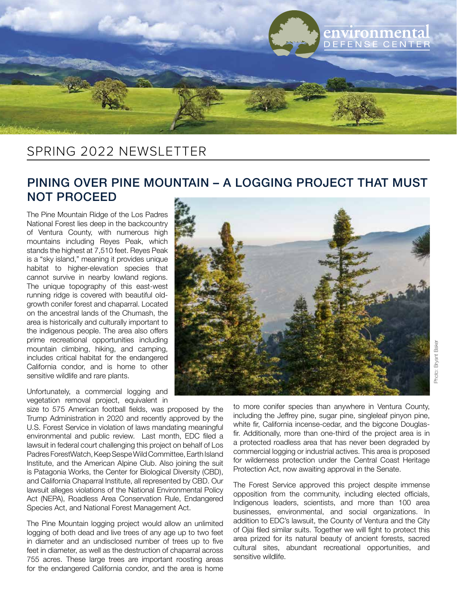

## SPRING 2022 NEWSLETTER

## PINING OVER PINE MOUNTAIN – A LOGGING PROJECT THAT MUST NOT PROCEED

The Pine Mountain Ridge of the Los Padres National Forest lies deep in the backcountry of Ventura County, with numerous high mountains including Reyes Peak, which stands the highest at 7,510 feet. Reyes Peak is a "sky island," meaning it provides unique habitat to higher-elevation species that cannot survive in nearby lowland regions. The unique topography of this east-west running ridge is covered with beautiful oldgrowth conifer forest and chaparral. Located on the ancestral lands of the Chumash, the area is historically and culturally important to the indigenous people. The area also offers prime recreational opportunities including mountain climbing, hiking, and camping, includes critical habitat for the endangered California condor, and is home to other sensitive wildlife and rare plants.

Unfortunately, a commercial logging and vegetation removal project, equivalent in

size to 575 American football fields, was proposed by the Trump Administration in 2020 and recently approved by the U.S. Forest Service in violation of laws mandating meaningful environmental and public review. Last month, EDC filed a lawsuit in federal court challenging this project on behalf of Los Padres ForestWatch, Keep Sespe Wild Committee, Earth Island Institute, and the American Alpine Club. Also joining the suit is Patagonia Works, the Center for Biological Diversity (CBD), and California Chaparral Institute, all represented by CBD. Our lawsuit alleges violations of the National Environmental Policy Act (NEPA), Roadless Area Conservation Rule, Endangered Species Act, and National Forest Management Act.

The Pine Mountain logging project would allow an unlimited logging of both dead and live trees of any age up to two feet in diameter and an undisclosed number of trees up to five feet in diameter, as well as the destruction of chaparral across 755 acres. These large trees are important roosting areas for the endangered California condor, and the area is home



to more conifer species than anywhere in Ventura County, including the Jeffrey pine, sugar pine, singleleaf pinyon pine, white fir, California incense-cedar, and the bigcone Douglasfir. Additionally, more than one-third of the project area is in a protected roadless area that has never been degraded by commercial logging or industrial actives. This area is proposed for wilderness protection under the Central Coast Heritage Protection Act, now awaiting approval in the Senate.

The Forest Service approved this project despite immense opposition from the community, including elected officials, Indigenous leaders, scientists, and more than 100 area businesses, environmental, and social organizations. In addition to EDC's lawsuit, the County of Ventura and the City of Ojai filed similar suits. Together we will fight to protect this area prized for its natural beauty of ancient forests, sacred cultural sites, abundant recreational opportunities, and sensitive wildlife.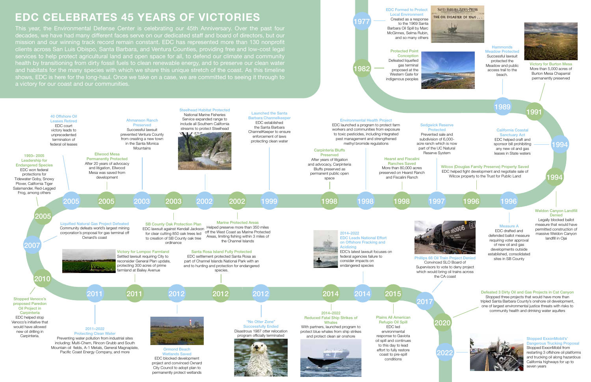# **EDC CELEBRATES 45 YEARS OF VICTORIES**

EDC Formed to Protect Local Environment Created as a response to the 1969 Santa Barbara Oil Spill by Marc McGinnes, Selma Rubin, and so many others

#### Hammonds Meadow Protected Successful lawsuit protected the Meadow and public access trail to the beach.



defended ballot measure requiring voter approval of new oil and gas developments outside established, consolidated sites in SB County

### Wilcox (Douglas Family Preserve) Property Saved EDC helped fight development and negotiate sale of

#### California Coastal Sanctuary Act

EDC helped craft and sponsor bill prohibiting any new oil and gas leases in State waters

#### Weldon Canyon Landfill Denied

199

Legally blocked ballot measure that would have permitted construction of massive Weldon Canyon landfill in Ojai

#### Defeated 3 Dirty Oil and Gas Projects in Cat Canyon

Stopped three projects that would have more than tripled Santa Barbara County's onshore oil development, one of largest environmental justice threats with risks to community health and drinking water aquifers

Protected Point **Conception** Defeated liquefied gas terminal proposed at the Western Gate for indigenous peoples

Victory for Burton Mesa More than 5,000 acres of Burton Mesa Chaparral permanently preserved

This year, the Environmental Defense Center is celebrating our 45th Anniversary. Over the past four decades, we have had many different faces serve on our dedicated staff and board of directors, but our mission and our winning track record remain constant. EDC has represented more than 130 nonprofit clients across San Luis Obispo, Santa Barbara, and Ventura Counties, providing free and low-cost legal services to help protect agricultural land and open space for all, to defend our climate and community health by transitioning from dirty fossil fuels to clean renewable energy, and to preserve our clean water and habitats for the many species with which we share this unique stretch of the coast. As this timeline shows, EDC is here for the long-haul. Once we take on a case, we are committed to seeing it through to a victory for our coast and our communities.

1977

1982

## 1991

1994







### Stopped ExxonMobil's' Dangerous Trucking Proposal Stopped ExxonMobil from

restarting 3 offshore oil platforms and trucking oil along hazardous California highways for up to seven years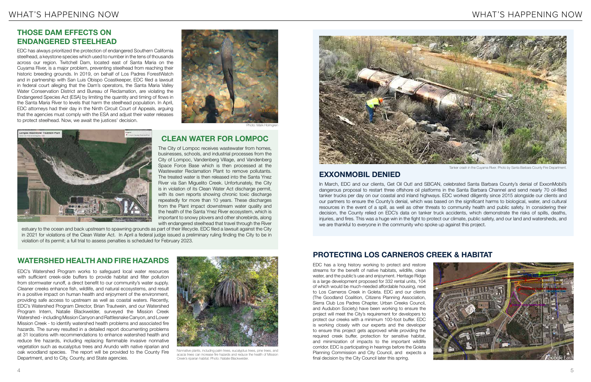EDC has always prioritized the protection of endangered Southern California steelhead, a keystone species which used to number in the tens of thousands across our region. Twitchell Dam, located east of Santa Maria on the Cuyama River, is a major problem, preventing steelhead from reaching their historic breeding grounds. In 2019, on behalf of Los Padres ForestWatch and in partnership with San Luis Obispo Coastkeeper, EDC filed a lawsuit in federal court alleging that the Dam's operators, the Santa Maria Valley Water Conservation District and Bureau of Reclamation, are violating the Endangered Species Act (ESA) by limiting the quantity and timing of flows in the Santa Maria River to levels that harm the steelhead population. In April, EDC attorneys had their day in the Ninth Circuit Court of Appeals, arguing that the agencies must comply with the ESA and adjust their water releases to protect steelhead. Now, we await the justices' decision.



Photo: Mark Holmgren



EDC's Watershed Program works to safeguard local water resources with sufficient creek-side buffers to provide habitat and filter pollution from stormwater runoff, a direct benefit to our community's water supply. Cleaner creeks enhance fish, wildlife, and natural ecosystems, and result in a positive impact on human health and enjoyment of the environment, providing safe access to upstream as well as coastal waters. Recently, EDC's Watershed Program Director, Brian Trautwein, and our Watershed Program Intern, Natalie Blackwelder, surveyed the Mission Creek Watershed - including Mission Canyon and Rattlesnake Canyon, and Lower Mission Creek - to identify watershed health problems and associated fire hazards. The survey resulted in a detailed report documenting problems at 31 locations with recommendations to enhance watershed health and reduce fire hazards, including replacing flammable invasive nonnative vegetation such as eucalyptus trees and Arundo with native riparian and oak woodland species. The report will be provided to the County Fire Department, and to City, County, and State agencies.

The City of Lompoc receives wastewater from homes, businesses, schools, and industrial processes from the City of Lompoc, Vandenberg Village, and Vandenberg Space Force Base which is then processed at the Wastewater Reclamation Plant to remove pollutants. The treated water is then released into the Santa Ynez River via San Miguelito Creek. Unfortunately, the City is in violation of its Clean Water Act discharge permit, with its own reports showing chronic toxic discharge repeatedly for more than 10 years. These discharges from the Plant impact downstream water quality and the health of the Santa Ynez River ecosystem, which is important to snowy plovers and other shorebirds, along with endangered steelhead that travel through the River

estuary to the ocean and back upstream to spawning grounds as part of their lifecycle. EDC filed a lawsuit against the City in 2021 for violations of the Clean Water Act. In April a federal judge issued a preliminary ruling finding the City to be in violation of its permit; a full trial to assess penalties is scheduled for February 2023.



Nonnative plants, including palm trees, eucalyptus trees, pine trees, and acacia trees can increase fire hazards and reduce the health of Mission Creek's riparian habitat. Photo: Natalie Blackwelder.



In March, EDC and our clients, Get Oil Out! and SBCAN, celebrated Santa Barbara County's denial of ExxonMobil's dangerous proposal to restart three offshore oil platforms in the Santa Barbara Channel and send nearly 70 oil-filled tanker trucks per day on our coastal and inland highways. EDC worked diligently since 2015 alongside our clients and our partners to ensure the County's denial, which was based on the significant harms to biological, water, and cultural resources in the event of a spill, as well as other threats to community health and public safety. In considering their decision, the County relied on EDC's data on tanker truck accidents, which demonstrate the risks of spills, deaths, injuries, and fires. This was a huge win in the fight to protect our climate, public safety, and our land and watersheds, and we are thankful to everyone in the community who spoke up against this project.

EDC has a long history working to protect and restore streams for the benefit of native habitats, wildlife, clean water, and the public's use and enjoyment. Heritage Ridge is a large development proposed for 332 rental units, 104 of which would be much-needed affordable housing, next to Los Carneros Creek in Goleta. EDC and our clients (The Goodland Coalition, Citizens Planning Association, Sierra Club Los Padres Chapter, Urban Creeks Council, and Audubon Society) have been working to ensure the project will meet the City's requirement for developers to protect our creeks with a minimum 100-foot buffer. EDC is working closely with our experts and the developer to ensure this project gets approved while providing the required creek buffer, protection for sensitive habitat, and minimization of impacts to the important wildlife corridor. EDC is participating in hearings before the Goleta Planning Commission and City Council, and expects a final decision by the City Council later this spring.

### **EXXONMOBIL DENIED**

## **PROTECTING LOS CARNEROS CREEK & HABITAT**

## **THOSE DAM EFFECTS ON ENDANGERED STEELHEAD**

### **CLEAN WATER FOR LOMPOC**

## **WATERSHED HEALTH AND FIRE HAZARDS**

Tanker crash in the Cuyama River. Photo by Santa Barbara County Fire Department.

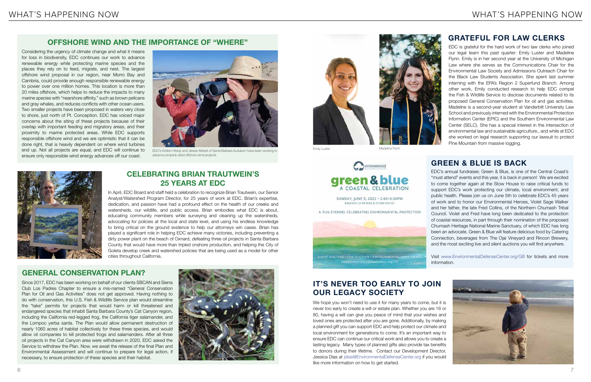EDC is grateful for the hard work of two law clerks who joined our legal team this past quarter: Emily Luster and Madeline Flynn. Emily is in her second year at the University of Michigan Law where she serves as the Communications Chair for the Environmental Law Society and Admissions Outreach Chair for the Black Law Students Association. She spent last summer interning with the EPA's Region 2 Superfund Branch. Among other work, Emily conducted research to help EDC compel the Fish & Wildlife Service to disclose documents related to its proposed General Conservation Plan for oil and gas activities. Madeline is a second-year student at Vanderbilt University Law School and previously interned with the Environmental Protection Information Center (EPIC) and the Southern Environmental Law Center (SELC). She has a special interest in the intersection of environmental law and sustainable agriculture., and while at EDC she worked on legal research supporting our lawsuit to protect Pine Mountain from massive logging.

SILENT AUCTION + LIVE AUCTION + ENVIRONMENTAL HERO AWARE Visit www.EnvironmentalDefenseCenter.org/GB for tickets and more EnvironmentalDefenseCenter.org/GB information.

We hope you won't need to use it for many years to come, but it is never too early to create a will or estate plan. Whether you are 18 or 80, having a will can give you peace of mind that your wishes and loved ones are protected after you are gone. Additionally, by making a planned gift you can support EDC and help protect our climate and local environment for generations to come. It's an important way to ensure EDC can continue our critical work and allows you to create a lasting legacy. Many types of planned gifts also provide tax benefits to donors during their lifetime. Contact our Development Director, Jessica Dias at jdias@EnvironmentalDefenseCenter.org if you would like more information on how to get started.

EDC's annual fundraiser, Green & Blue, is one of the Central Coast's "must attend" events and this year, it is back in person! We are excited to come together again at the Stow House to raise critical funds to support EDC's work protecting our climate, local environment, and public health. Please join us on June 5th to celebrate EDC's 45 years of work and to honor our Environmental Heroes, Violet Sage Walker and her father, the late Fred Collins, of the Northern Chumash Tribal Council. Violet and Fred have long been dedicated to the protection of coastal resources, in part through their nomination of the proposed Chumash Heritage National Marine Sanctuary, of which EDC has long been an advocate. Green & Blue will feature delicious food by Catering Connection, beverages from The Ojai Vineyard and Rincon Brewery, and the most exciting live and silent auctions you will find anywhere.



Considering the urgency of climate change and what it means for loss in biodiversity, EDC continues our work to advance renewable energy while protecting marine species and the places they rely on to feed, migrate, and nest. The largest offshore wind proposal in our region, near Morro Bay and Cambria, could provide enough responsible renewable energy to power over one million homes. This location is more than 20 miles offshore, which helps to reduce the impacts to many marine species with "nearshore affinity," such as brown pelicans and gray whales, and reduces conflicts with other ocean users. Two smaller projects have been proposed in waters very close to shore, just north of Pt. Conception. EDC has voiced major concerns about the siting of these projects because of their overlap with important feeding and migratory areas, and their proximity to marine protected areas. While EDC supports responsible offshore wind and we are optimistic that it can be done right, that is heavily dependent on where wind turbines end up. Not all projects are equal, and EDC will continue to ensure only responsible wind energy advances off our coast.

> In April, EDC Board and staff held a celebration to recognize Brian Trautwein, our Senior Analyst/Watershed Program Director, for 25 years of work at EDC. Brian's expertise, dedication, and passion have had a profound effect on the health of our creeks and watersheds, our wildlife, and public access. Brian embodies what EDC is about, educating community members while surveying and cleaning up the watersheds, advocating for policies at the local and state level, and using his endless knowledge to bring critical on the ground evidence to help our attorneys win cases. Brian has played a significant role in helping EDC achieve many victories, including preventing a dirty power plant on the beach of Oxnard, defeating three oil projects in Santa Barbara County that would have more than tripled onshore production, and helping the City of Goleta develop creek and watershed policies that are being used as a model for other cities throughout California.

Since 2017, EDC has been working on behalf of our clients SBCAN and Sierra Club Los Padres Chapter to ensure a mis-named "General Conservation Plan for Oil and Gas Activities" does not get approved. Having nothing to do with conservation, this U.S. Fish & Wildlife Service plan would streamline the "take" permits for projects that would harm or kill threatened and endangered species that inhabit Santa Barbara County's Cat Canyon region, including the California red-legged frog, the California tiger salamander, and the Lompoc yerba santa. The Plan would allow permanent destruction of nearly 1060 acres of habitat collectively for these three species, and would allow oil companies to kill protected frogs and salamanders. After all three oil projects in the Cat Canyon area were withdrawn in 2020, EDC asked the Service to withdraw the Plan. Now, we await the release of the final Plan and Environmental Assessment and will continue to prepare for legal action, if necessary, to ensure protection of these species and their habitat.





### **OFFSHORE WIND AND THE IMPORTANCE OF "WHERE"**

## **CELEBRATING BRIAN TRAUTWEIN'S 25 YEARS AT EDC**

## **GENERAL CONSERVATION PLAN?**



EDC's Kristen Hislop and Jessie Altstatt of Santa Barbara Audubon have been working to advance properly sited offshore wind projects.





Emily Luster **Madeline Flynn** 



## **GRATEFUL FOR LAW CLERKS**

## **GREEN & BLUE IS BACK**

## **IT'S NEVER TOO EARLY TO JOIN OUR LEGACY SOCIETY**